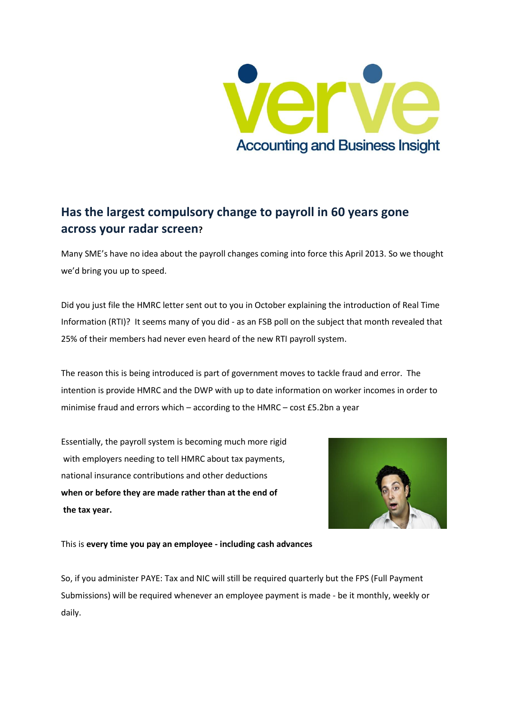

## **Has the largest compulsory change to payroll in 60 years gone across your radar screen?**

Many SME's have no idea about the payroll changes coming into force this April 2013. So we thought we'd bring you up to speed.

Did you just file the HMRC letter sent out to you in October explaining the introduction of Real Time Information (RTI)? It seems many of you did - as an FSB poll on the subject that month revealed that 25% of their members had never even heard of the new RTI payroll system.

The reason this is being introduced is part of government moves to tackle fraud and error. The intention is provide HMRC and the DWP with up to date information on worker incomes in order to minimise fraud and errors which – according to the HMRC – cost £5.2bn a year

Essentially, the payroll system is becoming much more rigid with employers needing to tell HMRC about tax payments, national insurance contributions and other deductions **when or before they are made rather than at the end of the tax year.**



This is **every time you pay an employee - including cash advances**

So, if you administer PAYE: Tax and NIC will still be required quarterly but the FPS (Full Payment Submissions) will be required whenever an employee payment is made - be it monthly, weekly or daily.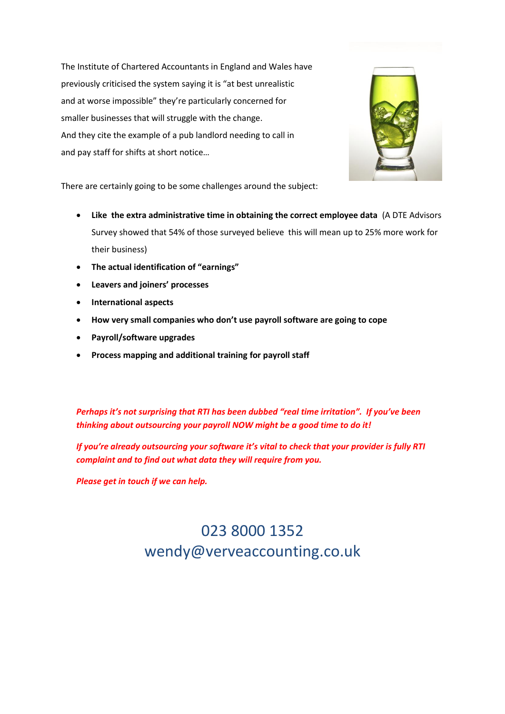The Institute of Chartered Accountants in England and Wales have previously criticised the system saying it is "at best unrealistic and at worse impossible" they're particularly concerned for smaller businesses that will struggle with the change. And they cite the example of a pub landlord needing to call in and pay staff for shifts at short notice…



There are certainly going to be some challenges around the subject:

- **Like the extra administrative time in obtaining the correct employee data** (A DTE Advisors Survey showed that 54% of those surveyed believe this will mean up to 25% more work for their business)
- **The actual identification of "earnings"**
- **Leavers and joiners' processes**
- **International aspects**
- **How very small companies who don't use payroll software are going to cope**
- **Payroll/software upgrades**
- **Process mapping and additional training for payroll staff**

*Perhaps it's not surprising that RTI has been dubbed "real time irritation". If you've been thinking about outsourcing your payroll NOW might be a good time to do it!* 

*If you're already outsourcing your software it's vital to check that your provider is fully RTI complaint and to find out what data they will require from you.*

*Please get in touch if we can help.*

## 023 8000 1352 wendy@verveaccounting.co.uk